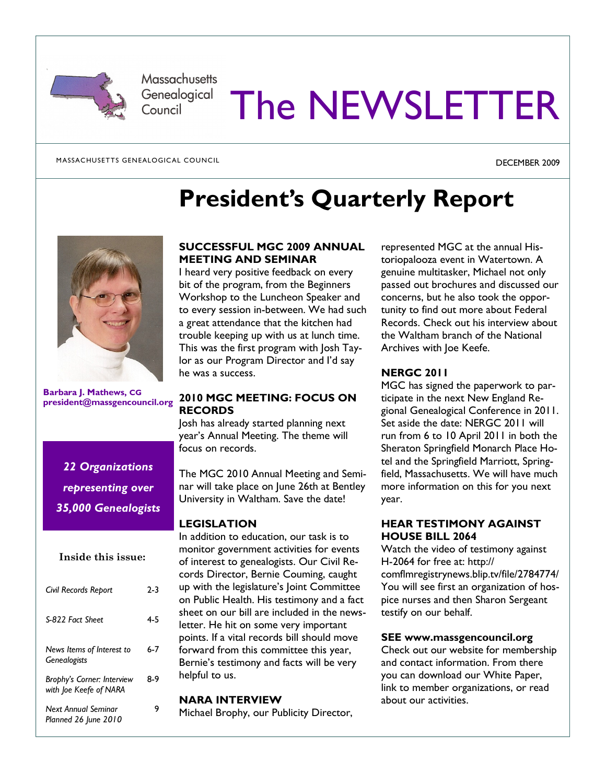

**Massachusetts** Genealogical Council

# The NEWSLETTER

MASSACHUSETTS GENEALOGICAL COUNCIL

DECEMBER 2009

## President's Quarterly Report



Barbara J. Mathews, CG president@massgencouncil.org

## 22 Organizations representing over 35,000 Genealogists

### Inside this issue:

| Civil Records Report                                 | 2-3 |
|------------------------------------------------------|-----|
| S-822 Fact Sheet                                     | 4-5 |
| News Items of Interest to<br><b>Genealogists</b>     | 6-7 |
| Brophy's Corner: Interview<br>with loe Keefe of NARA | 8-9 |
| Next Annual Seminar<br>Planned 26 June 2010          | 9   |

### SUCCESSFUL MGC 2009 ANNUAL MEETING AND SEMINAR

I heard very positive feedback on every bit of the program, from the Beginners Workshop to the Luncheon Speaker and to every session in-between. We had such a great attendance that the kitchen had trouble keeping up with us at lunch time. This was the first program with Josh Taylor as our Program Director and I'd say he was a success.

### 2010 MGC MEETING: FOCUS ON **RECORDS**

Josh has already started planning next year's Annual Meeting. The theme will focus on records.

The MGC 2010 Annual Meeting and Seminar will take place on June 26th at Bentley University in Waltham. Save the date!

### LEGISLATION

In addition to education, our task is to monitor government activities for events of interest to genealogists. Our Civil Records Director, Bernie Couming, caught up with the legislature's Joint Committee on Public Health. His testimony and a fact sheet on our bill are included in the newsletter. He hit on some very important points. If a vital records bill should move forward from this committee this year, Bernie's testimony and facts will be very helpful to us.

### NARA INTERVIEW

Michael Brophy, our Publicity Director,

represented MGC at the annual Historiopalooza event in Watertown. A genuine multitasker, Michael not only passed out brochures and discussed our concerns, but he also took the opportunity to find out more about Federal Records. Check out his interview about the Waltham branch of the National Archives with Joe Keefe.

### NERGC 2011

MGC has signed the paperwork to participate in the next New England Regional Genealogical Conference in 2011. Set aside the date: NERGC 2011 will run from 6 to 10 April 2011 in both the Sheraton Springfield Monarch Place Hotel and the Springfield Marriott, Springfield, Massachusetts. We will have much more information on this for you next year.

### HEAR TESTIMONY AGAINST HOUSE BILL 2064

Watch the video of testimony against H-2064 for free at: http:// comflmregistrynews.blip.tv/file/2784774/ You will see first an organization of hospice nurses and then Sharon Sergeant testify on our behalf.

### SEE www.massgencouncil.org

Check out our website for membership and contact information. From there you can download our White Paper, link to member organizations, or read about our activities.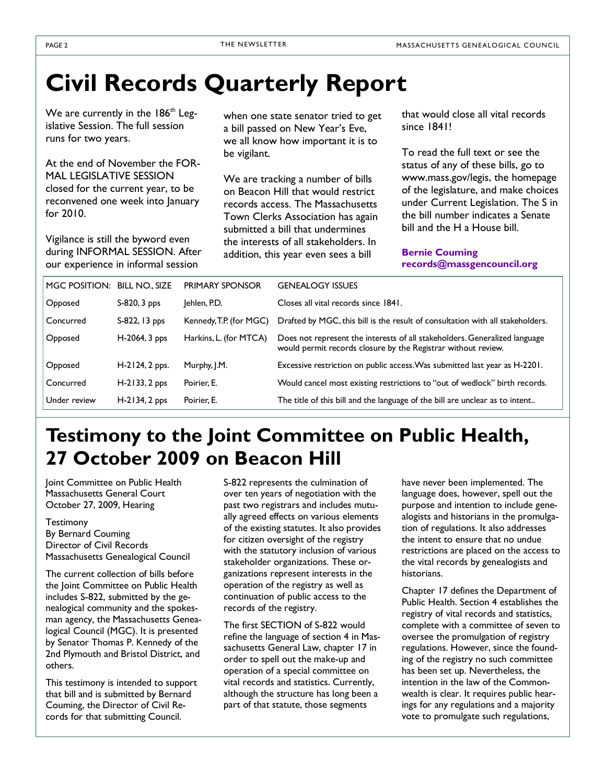## Civil Records Quarterly Report

We are currently in the  $186<sup>th</sup>$  Legislative Session. The full session runs for two years.

At the end of November the FOR-MAL LEGISLATIVE SESSION closed for the current year, to be reconvened one week into January for 2010.

Vigilance is still the byword even during INFORMAL SESSION. After our experience in informal session

when one state senator tried to get a bill passed on New Year's Eve, we all know how important it is to be vigilant.

We are tracking a number of bills on Beacon Hill that would restrict records access. The Massachusetts Town Clerks Association has again submitted a bill that undermines the interests of all stakeholders. In addition, this year even sees a bill

that would close all vital records since 1841!

To read the full text or see the status of any of these bills, go to www.mass.gov/legis, the homepage of the legislature, and make choices under Current Legislation. The S in the bill number indicates a Senate bill and the H a House bill.

Bernie Couming records@massgencouncil.org

| MGC POSITION: BILL NO., SIZE |                   | <b>PRIMARY SPONSOR</b>  | <b>GENEALOGY ISSUES</b>                                                                                                                     |
|------------------------------|-------------------|-------------------------|---------------------------------------------------------------------------------------------------------------------------------------------|
| Opposed                      | $S-820$ , $3$ pps | Jehlen, P.D.            | Closes all vital records since 1841.                                                                                                        |
| Concurred                    | S-822, 13 pps     | Kennedy, T.P. (for MGC) | Drafted by MGC, this bill is the result of consultation with all stakeholders.                                                              |
| Opposed                      | $H-2064, 3$ pps   | Harkins, L. (for MTCA)  | Does not represent the interests of all stakeholders. Generalized language<br>would permit records closure by the Registrar without review. |
| Opposed                      | $H-2124, 2$ pps.  | Murphy, J.M.            | Excessive restriction on public access. Was submitted last year as H-2201.                                                                  |
| Concurred                    | $H-2133, 2$ pps   | Poirier, E.             | Would cancel most existing restrictions to "out of wedlock" birth records.                                                                  |
| Under review                 | $H-2134, 2$ pps   | Poirier. E.             | The title of this bill and the language of the bill are unclear as to intent                                                                |

## Testimony to the Joint Committee on Public Health, 27 October 2009 on Beacon Hill

Joint Committee on Public Health Massachusetts General Court October 27, 2009, Hearing

#### Testimony

By Bernard Couming Director of Civil Records Massachusetts Genealogical Council

The current collection of bills before the Joint Committee on Public Health includes S-822, submitted by the genealogical community and the spokesman agency, the Massachusetts Genealogical Council (MGC). It is presented by Senator Thomas P. Kennedy of the 2nd Plymouth and Bristol District, and others.

This testimony is intended to support that bill and is submitted by Bernard Couming, the Director of Civil Records for that submitting Council.

S-822 represents the culmination of over ten years of negotiation with the past two registrars and includes mutually agreed effects on various elements of the existing statutes. It also provides for citizen oversight of the registry with the statutory inclusion of various stakeholder organizations. These organizations represent interests in the operation of the registry as well as continuation of public access to the records of the registry.

The first SECTION of S-822 would refine the language of section 4 in Massachusetts General Law, chapter 17 in order to spell out the make-up and operation of a special committee on vital records and statistics. Currently, although the structure has long been a part of that statute, those segments

have never been implemented. The language does, however, spell out the purpose and intention to include genealogists and historians in the promulgation of regulations. It also addresses the intent to ensure that no undue restrictions are placed on the access to the vital records by genealogists and historians.

Chapter 17 defines the Department of Public Health. Section 4 establishes the registry of vital records and statistics, complete with a committee of seven to oversee the promulgation of registry regulations. However, since the founding of the registry no such committee has been set up. Nevertheless, the intention in the law of the Commonwealth is clear. It requires public hearings for any regulations and a majority vote to promulgate such regulations,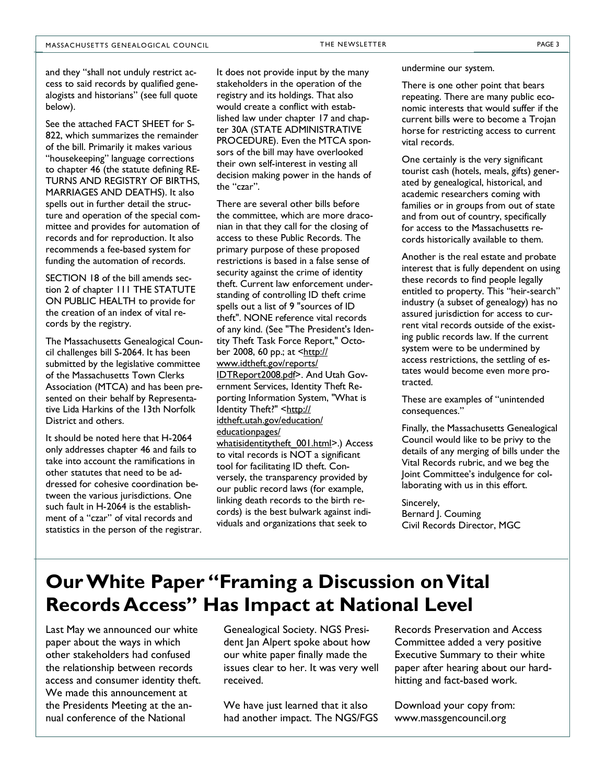and they "shall not unduly restrict access to said records by qualified genealogists and historians" (see full quote below).

See the attached FACT SHEET for S-822, which summarizes the remainder of the bill. Primarily it makes various "housekeeping" language corrections to chapter 46 (the statute defining RE-TURNS AND REGISTRY OF BIRTHS, MARRIAGES AND DEATHS). It also spells out in further detail the structure and operation of the special committee and provides for automation of records and for reproduction. It also recommends a fee-based system for funding the automation of records.

SECTION 18 of the bill amends section 2 of chapter 111 THE STATUTE ON PUBLIC HEALTH to provide for the creation of an index of vital records by the registry.

The Massachusetts Genealogical Council challenges bill S-2064. It has been submitted by the legislative committee of the Massachusetts Town Clerks Association (MTCA) and has been presented on their behalf by Representative Lida Harkins of the 13th Norfolk District and others.

It should be noted here that H-2064 only addresses chapter 46 and fails to take into account the ramifications in other statutes that need to be addressed for cohesive coordination between the various jurisdictions. One such fault in H-2064 is the establishment of a "czar" of vital records and statistics in the person of the registrar. It does not provide input by the many stakeholders in the operation of the registry and its holdings. That also would create a conflict with established law under chapter 17 and chapter 30A (STATE ADMINISTRATIVE PROCEDURE). Even the MTCA sponsors of the bill may have overlooked their own self-interest in vesting all decision making power in the hands of the "czar".

There are several other bills before the committee, which are more draconian in that they call for the closing of access to these Public Records. The primary purpose of these proposed restrictions is based in a false sense of security against the crime of identity theft. Current law enforcement understanding of controlling ID theft crime spells out a list of 9 "sources of ID theft". NONE reference vital records of any kind. (See "The President's Identity Theft Task Force Report," October 2008, 60 pp.; at <http:// www.idtheft.gov/reports/ IDTReport2008.pdf>. And Utah Government Services, Identity Theft Reporting Information System, "What is Identity Theft?" <http:// idtheft.utah.gov/education/ educationpages/ whatisidentitytheft\_001.html>.) Access to vital records is NOT a significant tool for facilitating ID theft. Conversely, the transparency provided by our public record laws (for example, linking death records to the birth records) is the best bulwark against individuals and organizations that seek to

undermine our system.

There is one other point that bears repeating. There are many public economic interests that would suffer if the current bills were to become a Trojan horse for restricting access to current vital records.

One certainly is the very significant tourist cash (hotels, meals, gifts) generated by genealogical, historical, and academic researchers coming with families or in groups from out of state and from out of country, specifically for access to the Massachusetts records historically available to them.

Another is the real estate and probate interest that is fully dependent on using these records to find people legally entitled to property. This "heir-search" industry (a subset of genealogy) has no assured jurisdiction for access to current vital records outside of the existing public records law. If the current system were to be undermined by access restrictions, the settling of estates would become even more protracted.

These are examples of "unintended consequences."

Finally, the Massachusetts Genealogical Council would like to be privy to the details of any merging of bills under the Vital Records rubric, and we beg the Joint Committee's indulgence for collaborating with us in this effort.

Sincerely, Bernard J. Couming Civil Records Director, MGC

## Our White Paper "Framing a Discussion on Vital Records Access" Has Impact at National Level

Last May we announced our white paper about the ways in which other stakeholders had confused the relationship between records access and consumer identity theft. We made this announcement at the Presidents Meeting at the annual conference of the National

Genealogical Society. NGS President Jan Alpert spoke about how our white paper finally made the issues clear to her. It was very well received.

We have just learned that it also had another impact. The NGS/FGS

Records Preservation and Access Committee added a very positive Executive Summary to their white paper after hearing about our hardhitting and fact-based work.

Download your copy from: www.massgencouncil.org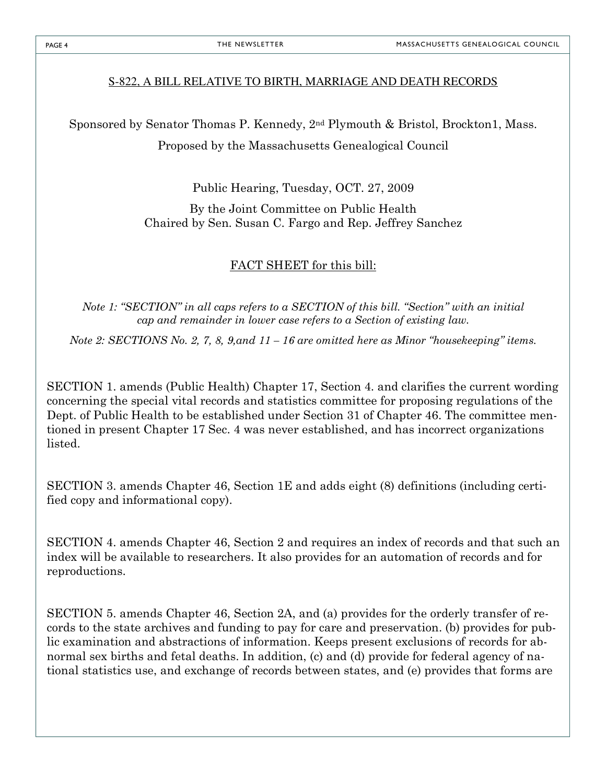## S-822, A BILL RELATIVE TO BIRTH, MARRIAGE AND DEATH RECORDS

Sponsored by Senator Thomas P. Kennedy, 2nd Plymouth & Bristol, Brockton1, Mass.

Proposed by the Massachusetts Genealogical Council

Public Hearing, Tuesday, OCT. 27, 2009

By the Joint Committee on Public Health Chaired by Sen. Susan C. Fargo and Rep. Jeffrey Sanchez

## FACT SHEET for this bill:

Note 1: "SECTION" in all caps refers to a SECTION of this bill. "Section" with an initial cap and remainder in lower case refers to a Section of existing law.

Note 2: SECTIONS No. 2, 7, 8, 9, and  $11 - 16$  are omitted here as Minor "housekeeping" items.

SECTION 1. amends (Public Health) Chapter 17, Section 4. and clarifies the current wording concerning the special vital records and statistics committee for proposing regulations of the Dept. of Public Health to be established under Section 31 of Chapter 46. The committee mentioned in present Chapter 17 Sec. 4 was never established, and has incorrect organizations listed.

SECTION 3. amends Chapter 46, Section 1E and adds eight (8) definitions (including certified copy and informational copy).

SECTION 4. amends Chapter 46, Section 2 and requires an index of records and that such an index will be available to researchers. It also provides for an automation of records and for reproductions.

SECTION 5. amends Chapter 46, Section 2A, and (a) provides for the orderly transfer of records to the state archives and funding to pay for care and preservation. (b) provides for public examination and abstractions of information. Keeps present exclusions of records for abnormal sex births and fetal deaths. In addition, (c) and (d) provide for federal agency of national statistics use, and exchange of records between states, and (e) provides that forms are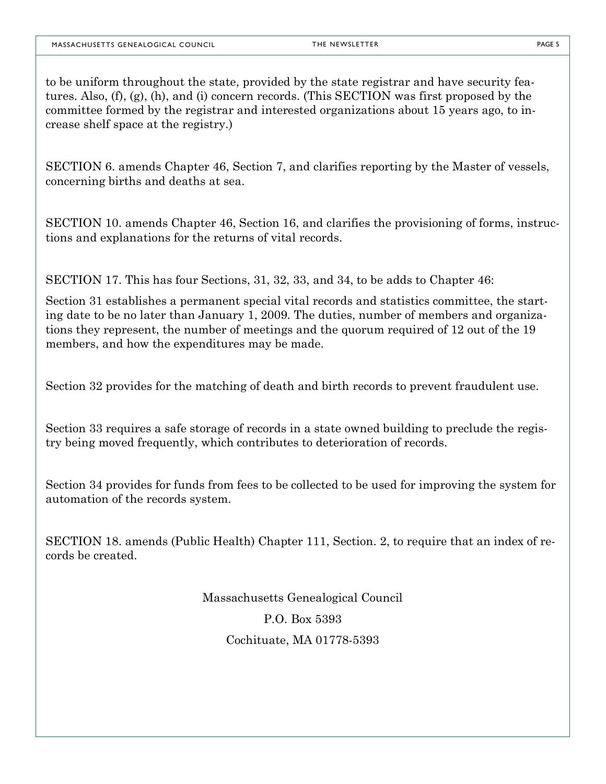to be uniform throughout the state, provided by the state registrar and have security features. Also, (f), (g), (h), and (i) concern records. (This SECTION was first proposed by the committee formed by the registrar and interested organizations about 15 years ago, to increase shelf space at the registry.)

SECTION 6. amends Chapter 46, Section 7, and clarifies reporting by the Master of vessels, concerning births and deaths at sea.

SECTION 10. amends Chapter 46, Section 16, and clarifies the provisioning of forms, instructions and explanations for the returns of vital records.

SECTION 17. This has four Sections, 31, 32, 33, and 34, to be adds to Chapter 46:

Section 31 establishes a permanent special vital records and statistics committee, the starting date to be no later than January 1, 2009. The duties, number of members and organizations they represent, the number of meetings and the quorum required of 12 out of the 19 members, and how the expenditures may be made.

Section 32 provides for the matching of death and birth records to prevent fraudulent use.

Section 33 requires a safe storage of records in a state owned building to preclude the registry being moved frequently, which contributes to deterioration of records.

Section 34 provides for funds from fees to be collected to be used for improving the system for automation of the records system.

SECTION 18. amends (Public Health) Chapter 111, Section. 2, to require that an index of records be created.

> Massachusetts Genealogical Council P.O. Box 5393 Cochituate, MA 01778-5393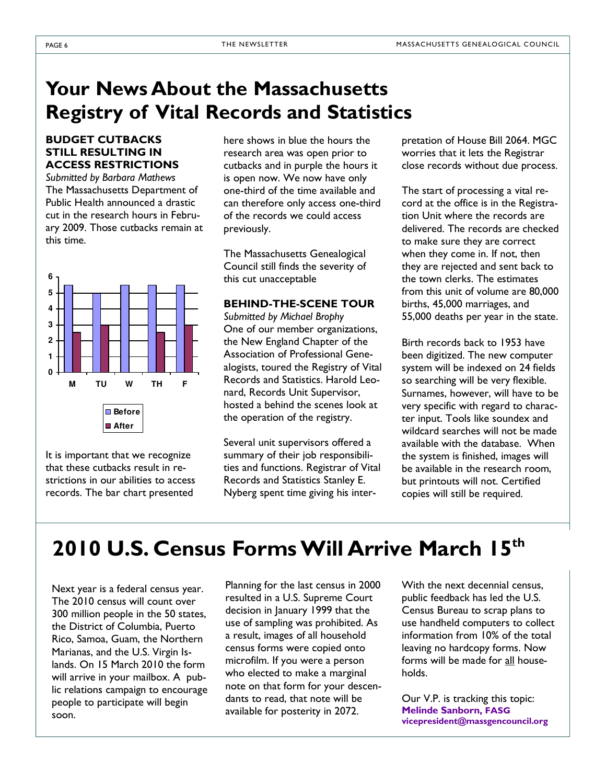## Your News About the Massachusetts Registry of Vital Records and Statistics

#### BUDGET CUTBACKS STILL RESULTING IN ACCESS RESTRICTIONS

Submitted by Barbara Mathews The Massachusetts Department of Public Health announced a drastic cut in the research hours in February 2009. Those cutbacks remain at this time.



It is important that we recognize that these cutbacks result in restrictions in our abilities to access records. The bar chart presented

here shows in blue the hours the research area was open prior to cutbacks and in purple the hours it is open now. We now have only one-third of the time available and can therefore only access one-third of the records we could access previously.

The Massachusetts Genealogical Council still finds the severity of this cut unacceptable

### BEHIND-THE-SCENE TOUR

Submitted by Michael Brophy One of our member organizations, the New England Chapter of the Association of Professional Genealogists, toured the Registry of Vital Records and Statistics. Harold Leonard, Records Unit Supervisor, hosted a behind the scenes look at the operation of the registry.

Several unit supervisors offered a summary of their job responsibilities and functions. Registrar of Vital Records and Statistics Stanley E. Nyberg spent time giving his interpretation of House Bill 2064. MGC worries that it lets the Registrar close records without due process.

The start of processing a vital record at the office is in the Registration Unit where the records are delivered. The records are checked to make sure they are correct when they come in. If not, then they are rejected and sent back to the town clerks. The estimates from this unit of volume are 80,000 births, 45,000 marriages, and 55,000 deaths per year in the state.

Birth records back to 1953 have been digitized. The new computer system will be indexed on 24 fields so searching will be very flexible. Surnames, however, will have to be very specific with regard to character input. Tools like soundex and wildcard searches will not be made available with the database. When the system is finished, images will be available in the research room, but printouts will not. Certified copies will still be required.

## 2010 U.S. Census Forms Will Arrive March 15<sup>th</sup>

Next year is a federal census year. The 2010 census will count over 300 million people in the 50 states, the District of Columbia, Puerto Rico, Samoa, Guam, the Northern Marianas, and the U.S. Virgin Islands. On 15 March 2010 the form will arrive in your mailbox. A public relations campaign to encourage people to participate will begin soon.

Planning for the last census in 2000 resulted in a U.S. Supreme Court decision in January 1999 that the use of sampling was prohibited. As a result, images of all household census forms were copied onto microfilm. If you were a person who elected to make a marginal note on that form for your descendants to read, that note will be available for posterity in 2072.

With the next decennial census, public feedback has led the U.S. Census Bureau to scrap plans to use handheld computers to collect information from 10% of the total leaving no hardcopy forms. Now forms will be made for all households.

Our V.P. is tracking this topic: Melinde Sanborn, FASG vicepresident@massgencouncil.org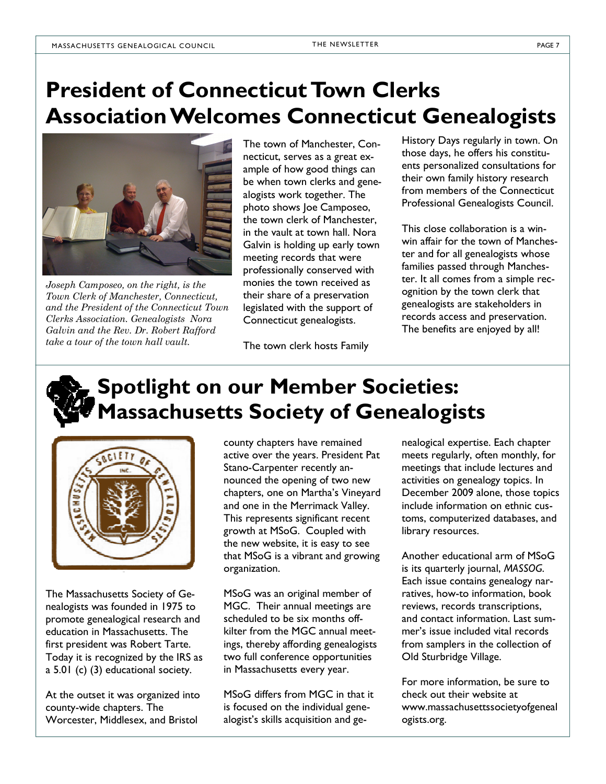## President of Connecticut Town Clerks Association Welcomes Connecticut Genealogists



Joseph Camposeo, on the right, is the Town Clerk of Manchester, Connecticut, and the President of the Connecticut Town Clerks Association. Genealogists Nora Galvin and the Rev. Dr. Robert Rafford take a tour of the town hall vault.

The town of Manchester, Connecticut, serves as a great example of how good things can be when town clerks and genealogists work together. The photo shows Joe Camposeo, the town clerk of Manchester, in the vault at town hall. Nora Galvin is holding up early town meeting records that were professionally conserved with monies the town received as their share of a preservation legislated with the support of Connecticut genealogists.

The town clerk hosts Family

History Days regularly in town. On those days, he offers his constituents personalized consultations for their own family history research from members of the Connecticut Professional Genealogists Council.

This close collaboration is a winwin affair for the town of Manchester and for all genealogists whose families passed through Manchester. It all comes from a simple recognition by the town clerk that genealogists are stakeholders in records access and preservation. The benefits are enjoyed by all!

## Spotlight on our Member Societies: Massachusetts Society of Genealogists



The Massachusetts Society of Genealogists was founded in 1975 to promote genealogical research and education in Massachusetts. The first president was Robert Tarte. Today it is recognized by the IRS as a 5.01 (c) (3) educational society.

At the outset it was organized into county-wide chapters. The Worcester, Middlesex, and Bristol

county chapters have remained active over the years. President Pat Stano-Carpenter recently announced the opening of two new chapters, one on Martha's Vineyard and one in the Merrimack Valley. This represents significant recent growth at MSoG. Coupled with the new website, it is easy to see that MSoG is a vibrant and growing organization.

MSoG was an original member of MGC. Their annual meetings are scheduled to be six months offkilter from the MGC annual meetings, thereby affording genealogists two full conference opportunities in Massachusetts every year.

MSoG differs from MGC in that it is focused on the individual genealogist's skills acquisition and genealogical expertise. Each chapter meets regularly, often monthly, for meetings that include lectures and activities on genealogy topics. In December 2009 alone, those topics include information on ethnic customs, computerized databases, and library resources.

Another educational arm of MSoG is its quarterly journal, MASSOG. Each issue contains genealogy narratives, how-to information, book reviews, records transcriptions, and contact information. Last summer's issue included vital records from samplers in the collection of Old Sturbridge Village.

For more information, be sure to check out their website at www.massachusettssocietyofgeneal ogists.org.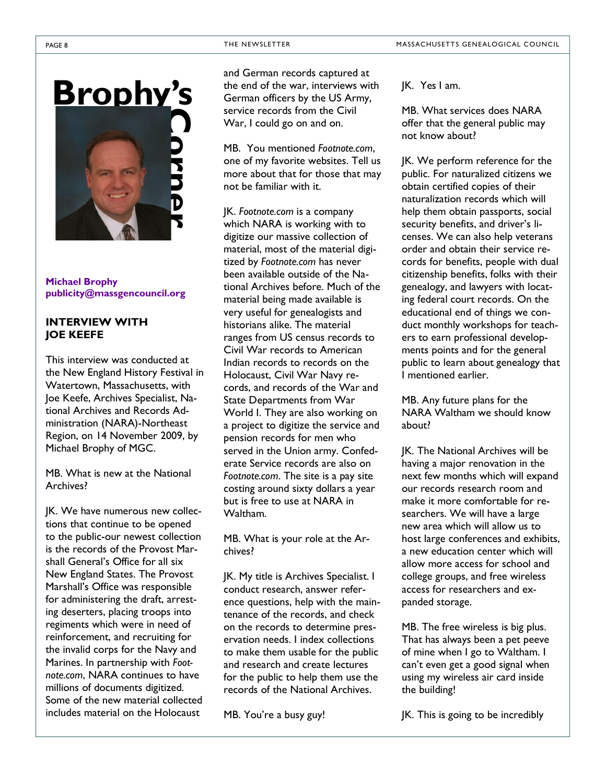

#### Michael Brophy publicity@massgencouncil.org

### INTERVIEW WITH JOE KEEFE

This interview was conducted at the New England History Festival in Watertown, Massachusetts, with Joe Keefe, Archives Specialist, National Archives and Records Administration (NARA)-Northeast Region, on 14 November 2009, by Michael Brophy of MGC.

MB. What is new at the National Archives?

JK. We have numerous new collections that continue to be opened to the public-our newest collection is the records of the Provost Marshall General's Office for all six New England States. The Provost Marshall's Office was responsible for administering the draft, arresting deserters, placing troops into regiments which were in need of reinforcement, and recruiting for the invalid corps for the Navy and Marines. In partnership with Footnote.com, NARA continues to have millions of documents digitized. Some of the new material collected includes material on the Holocaust

and German records captured at the end of the war, interviews with German officers by the US Army, service records from the Civil War, I could go on and on.

MB. You mentioned Footnote.com, one of my favorite websites. Tell us more about that for those that may not be familiar with it.

JK. Footnote.com is a company which NARA is working with to digitize our massive collection of material, most of the material digitized by Footnote.com has never been available outside of the National Archives before. Much of the material being made available is very useful for genealogists and historians alike. The material ranges from US census records to Civil War records to American Indian records to records on the Holocaust, Civil War Navy records, and records of the War and State Departments from War World I. They are also working on a project to digitize the service and pension records for men who served in the Union army. Confederate Service records are also on Footnote.com. The site is a pay site costing around sixty dollars a year but is free to use at NARA in Waltham.

MB. What is your role at the Archives?

JK. My title is Archives Specialist. I conduct research, answer reference questions, help with the maintenance of the records, and check on the records to determine preservation needs. I index collections to make them usable for the public and research and create lectures for the public to help them use the records of the National Archives.

MB. You're a busy guy!

JK. Yes I am.

MB. What services does NARA offer that the general public may not know about?

JK. We perform reference for the public. For naturalized citizens we obtain certified copies of their naturalization records which will help them obtain passports, social security benefits, and driver's licenses. We can also help veterans order and obtain their service records for benefits, people with dual citizenship benefits, folks with their genealogy, and lawyers with locating federal court records. On the educational end of things we conduct monthly workshops for teachers to earn professional developments points and for the general public to learn about genealogy that I mentioned earlier.

MB. Any future plans for the NARA Waltham we should know about?

JK. The National Archives will be having a major renovation in the next few months which will expand our records research room and make it more comfortable for researchers. We will have a large new area which will allow us to host large conferences and exhibits, a new education center which will allow more access for school and college groups, and free wireless access for researchers and expanded storage.

MB. The free wireless is big plus. That has always been a pet peeve of mine when I go to Waltham. I can't even get a good signal when using my wireless air card inside the building!

JK. This is going to be incredibly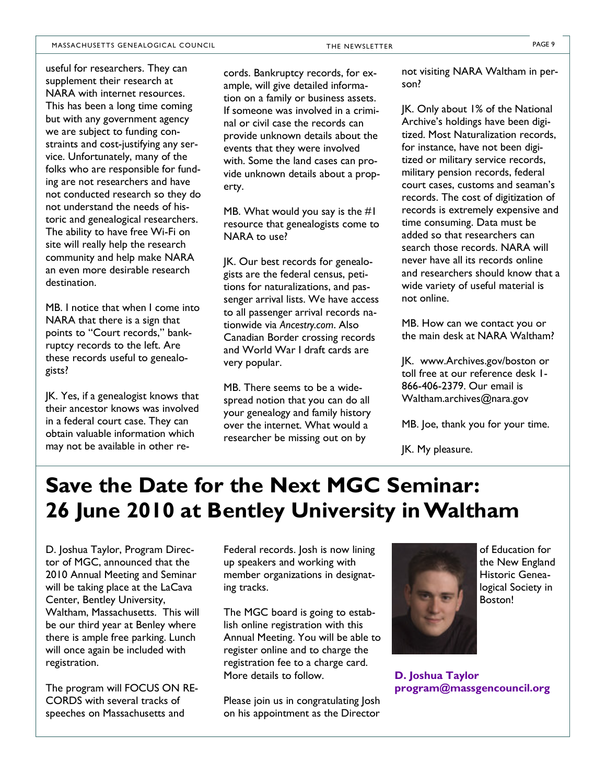#### MASSACHUSETTS GENEALOGICAL COUNCIL THE NEWSLETTER THE NEWSLETTER PAGE 9

useful for researchers. They can supplement their research at NARA with internet resources. This has been a long time coming but with any government agency we are subject to funding constraints and cost-justifying any service. Unfortunately, many of the folks who are responsible for funding are not researchers and have not conducted research so they do not understand the needs of historic and genealogical researchers. The ability to have free Wi-Fi on site will really help the research community and help make NARA an even more desirable research destination.

MB. I notice that when I come into NARA that there is a sign that points to "Court records," bankruptcy records to the left. Are these records useful to genealogists?

JK. Yes, if a genealogist knows that their ancestor knows was involved in a federal court case. They can obtain valuable information which may not be available in other records. Bankruptcy records, for example, will give detailed information on a family or business assets. If someone was involved in a criminal or civil case the records can provide unknown details about the events that they were involved with. Some the land cases can provide unknown details about a property.

MB. What would you say is the  $#I$ resource that genealogists come to NARA to use?

JK. Our best records for genealogists are the federal census, petitions for naturalizations, and passenger arrival lists. We have access to all passenger arrival records nationwide via Ancestry.com. Also Canadian Border crossing records and World War I draft cards are very popular.

MB. There seems to be a widespread notion that you can do all your genealogy and family history over the internet. What would a researcher be missing out on by

not visiting NARA Waltham in person?

JK. Only about 1% of the National Archive's holdings have been digitized. Most Naturalization records, for instance, have not been digitized or military service records, military pension records, federal court cases, customs and seaman's records. The cost of digitization of records is extremely expensive and time consuming. Data must be added so that researchers can search those records. NARA will never have all its records online and researchers should know that a wide variety of useful material is not online.

MB. How can we contact you or the main desk at NARA Waltham?

JK. www.Archives.gov/boston or toll free at our reference desk 1- 866-406-2379. Our email is Waltham.archives@nara.gov

MB. Joe, thank you for your time.

JK. My pleasure.

## Save the Date for the Next MGC Seminar: 26 June 2010 at Bentley University in Waltham

D. Joshua Taylor, Program Director of MGC, announced that the 2010 Annual Meeting and Seminar will be taking place at the LaCava Center, Bentley University, Waltham, Massachusetts. This will be our third year at Benley where there is ample free parking. Lunch will once again be included with registration.

The program will FOCUS ON RE-CORDS with several tracks of speeches on Massachusetts and

Federal records. Josh is now lining up speakers and working with member organizations in designating tracks.

The MGC board is going to establish online registration with this Annual Meeting. You will be able to register online and to charge the registration fee to a charge card. More details to follow.

Please join us in congratulating Josh on his appointment as the Director



D. Joshua Taylor program@massgencouncil.org